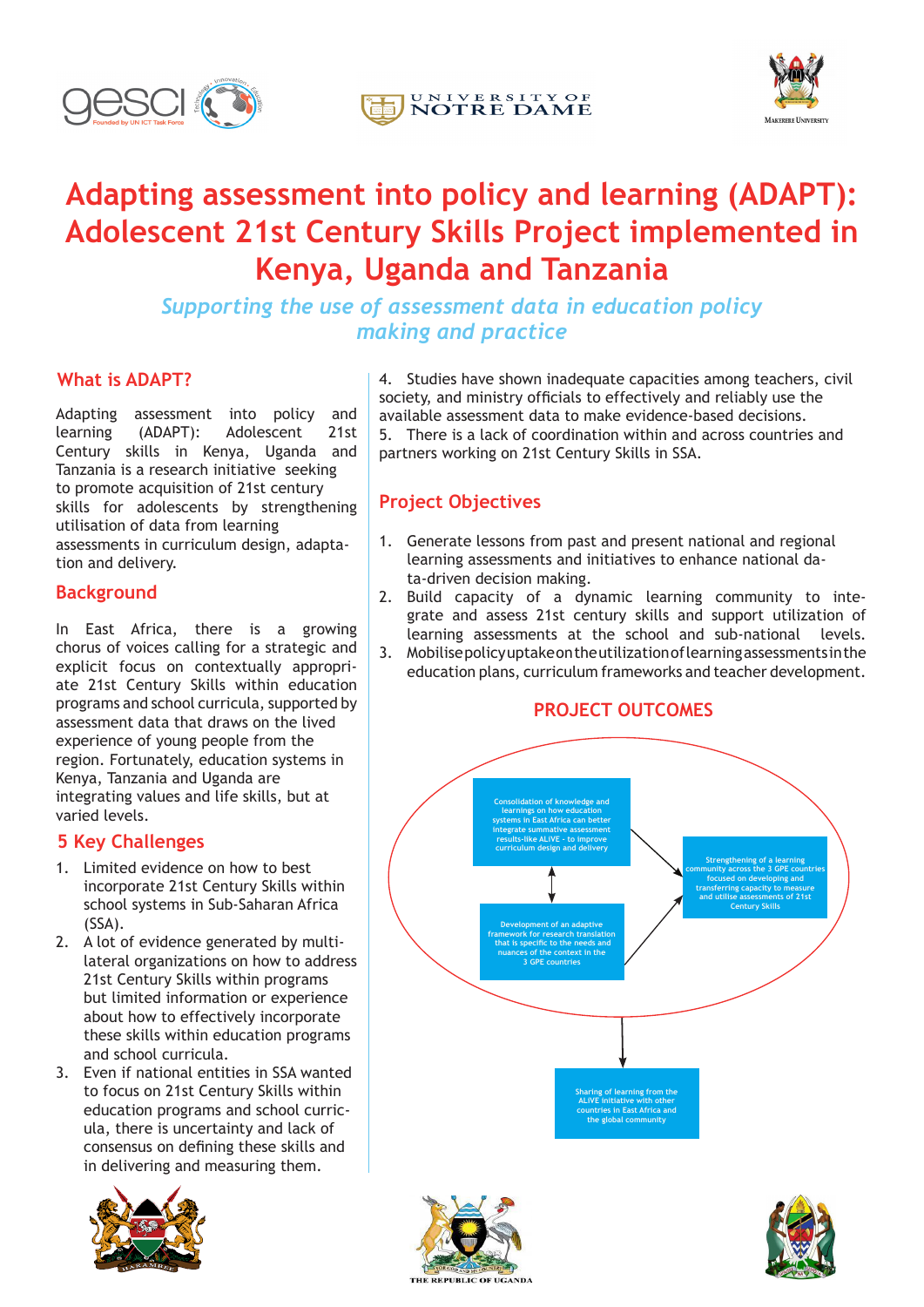





# **Adapting assessment into policy and learning (ADAPT): Adolescent 21st Century Skills Project implemented in Kenya, Uganda and Tanzania**

*Supporting the use of assessment data in education policy making and practice*

# **What is ADAPT?**

Adapting assessment into policy and learning (ADAPT): Adolescent 21st Century skills in Kenya, Uganda and Tanzania is a research initiative seeking to promote acquisition of 21st century skills for adolescents by strengthening utilisation of data from learning assessments in curriculum design, adaptation and delivery.

## **Background**

In East Africa, there is a growing chorus of voices calling for a strategic and explicit focus on contextually appropriate 21st Century Skills within education programs and school curricula, supported by assessment data that draws on the lived experience of young people from the region. Fortunately, education systems in Kenya, Tanzania and Uganda are integrating values and life skills, but at varied levels.

## **5 Key Challenges**

- 1. Limited evidence on how to best incorporate 21st Century Skills within school systems in Sub-Saharan Africa (SSA).
- 2. A lot of evidence generated by multilateral organizations on how to address 21st Century Skills within programs but limited information or experience about how to effectively incorporate these skills within education programs and school curricula.
- 3. Even if national entities in SSA wanted to focus on 21st Century Skills within education programs and school curricula, there is uncertainty and lack of consensus on defining these skills and in delivering and measuring them.



4. Studies have shown inadequate capacities among teachers, civil society, and ministry officials to effectively and reliably use the available assessment data to make evidence-based decisions. 5. There is a lack of coordination within and across countries and partners working on 21st Century Skills in SSA.

# **Project Objectives**

- 1. Generate lessons from past and present national and regional learning assessments and initiatives to enhance national data-driven decision making.
- 2. Build capacity of a dynamic learning community to integrate and assess 21st century skills and support utilization of learning assessments at the school and sub-national levels.
- 3. Mobilise policy uptake on the utilization of learning assessments in the education plans, curriculum frameworks and teacher development.

#### **PROJECT OUTCOMES Consolidation of knowledge and learnings on how education systems in East Africa can better integrate summative assessment results-like ALiVE - to improve curriculum design and delivery Strengthening of a learning community across the 3 GPE countries focused on developing and transferring capacity to measure and utilise assessments of 21st Century Skills**

**Sharing of learning from the ALiVE initiative with other countries in East Africa and the global community**

**Development of an adaptive framework for research translation that is specific to the needs and nuances of the context in the 3 GPE countries**

THE REPUBLIC OF UGAND